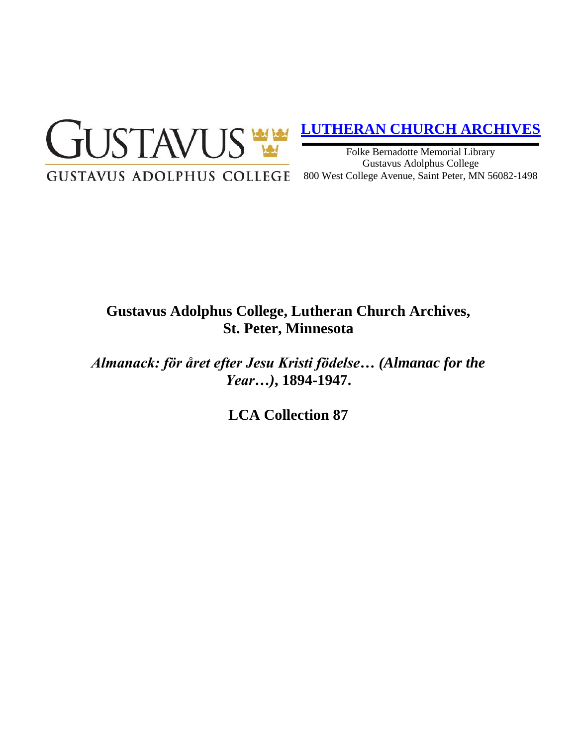

# **[LUTHERAN CHURCH ARCHIVES](http://gustavus.edu/academics/library/archives/)**

Folke Bernadotte Memorial Library Gustavus Adolphus College 800 West College Avenue, Saint Peter, MN 56082-1498

# **Gustavus Adolphus College, Lutheran Church Archives, St. Peter, Minnesota**

*Almanack: för året efter Jesu Kristi födelse… (Almanac for the Year…)***, 1894-1947.**

**LCA Collection 87**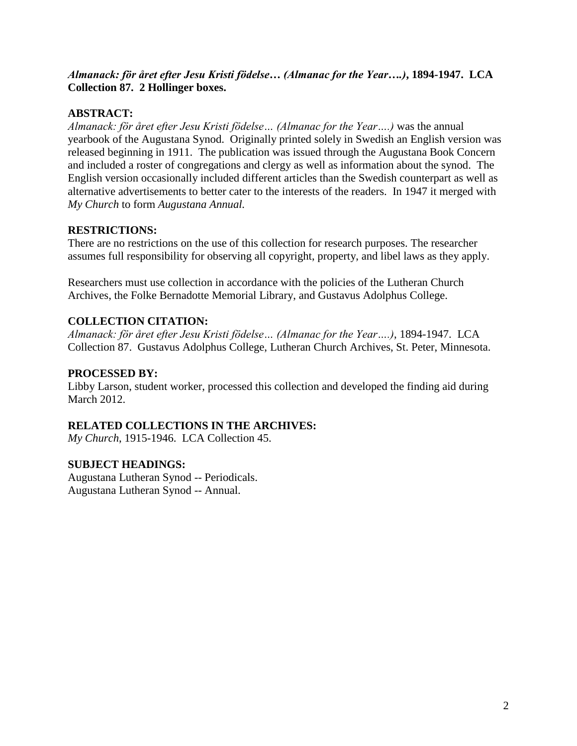## *Almanack: för året efter Jesu Kristi födelse… (Almanac for the Year….)***, 1894-1947. LCA Collection 87. 2 Hollinger boxes.**

## **ABSTRACT:**

*Almanack: för året efter Jesu Kristi födelse… (Almanac for the Year….)* was the annual yearbook of the Augustana Synod. Originally printed solely in Swedish an English version was released beginning in 1911. The publication was issued through the Augustana Book Concern and included a roster of congregations and clergy as well as information about the synod. The English version occasionally included different articles than the Swedish counterpart as well as alternative advertisements to better cater to the interests of the readers. In 1947 it merged with *My Church* to form *Augustana Annual.* 

## **RESTRICTIONS:**

There are no restrictions on the use of this collection for research purposes. The researcher assumes full responsibility for observing all copyright, property, and libel laws as they apply.

Researchers must use collection in accordance with the policies of the Lutheran Church Archives, the Folke Bernadotte Memorial Library, and Gustavus Adolphus College.

### **COLLECTION CITATION:**

*Almanack: för året efter Jesu Kristi födelse… (Almanac for the Year….)*, 1894-1947. LCA Collection 87. Gustavus Adolphus College, Lutheran Church Archives, St. Peter, Minnesota.

#### **PROCESSED BY:**

Libby Larson, student worker, processed this collection and developed the finding aid during March 2012.

#### **RELATED COLLECTIONS IN THE ARCHIVES:**

*My Church*, 1915-1946. LCA Collection 45.

#### **SUBJECT HEADINGS:**

Augustana Lutheran Synod -- Periodicals. Augustana Lutheran Synod -- Annual.